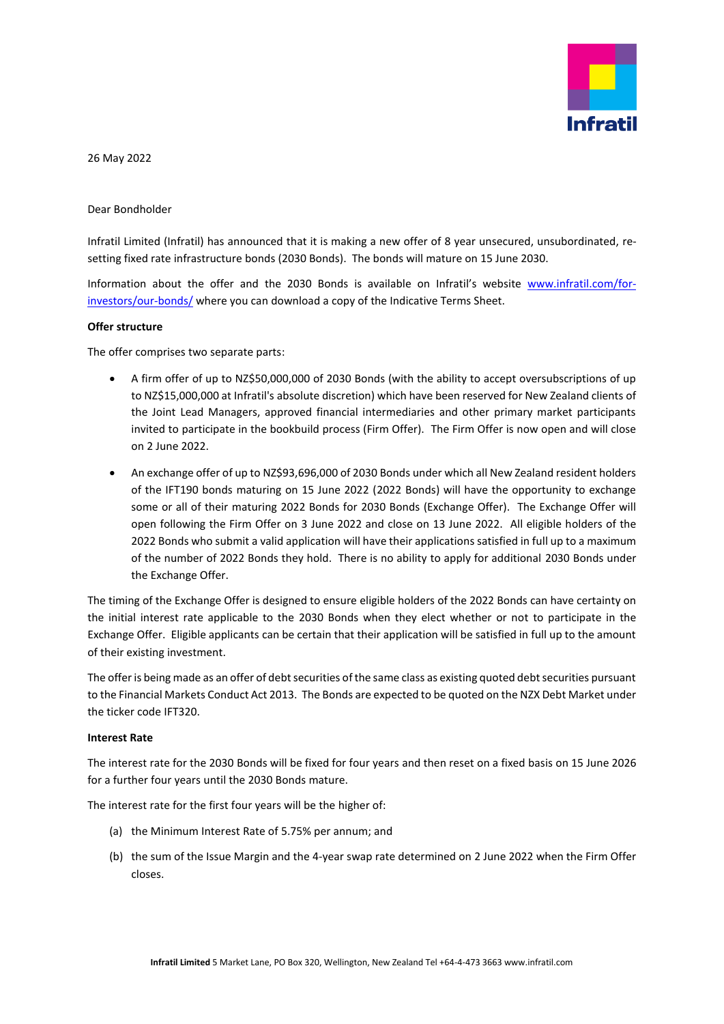

26 May 2022

Dear Bondholder

Infratil Limited (Infratil) has announced that it is making a new offer of 8 year unsecured, unsubordinated, resetting fixed rate infrastructure bonds (2030 Bonds). The bonds will mature on 15 June 2030.

Information about the offer and the 2030 Bonds is available on Infratil's website [www.infratil.com/for](http://www.infratil.com/for-investors/our-bonds/)[investors/our-bonds/](http://www.infratil.com/for-investors/our-bonds/) where you can download a copy of the Indicative Terms Sheet.

## **Offer structure**

The offer comprises two separate parts:

- A firm offer of up to NZ\$50,000,000 of 2030 Bonds (with the ability to accept oversubscriptions of up to NZ\$15,000,000 at Infratil's absolute discretion) which have been reserved for New Zealand clients of the Joint Lead Managers, approved financial intermediaries and other primary market participants invited to participate in the bookbuild process (Firm Offer). The Firm Offer is now open and will close on 2 June 2022.
- An exchange offer of up to NZ\$93,696,000 of 2030 Bonds under which all New Zealand resident holders of the IFT190 bonds maturing on 15 June 2022 (2022 Bonds) will have the opportunity to exchange some or all of their maturing 2022 Bonds for 2030 Bonds (Exchange Offer). The Exchange Offer will open following the Firm Offer on 3 June 2022 and close on 13 June 2022. All eligible holders of the 2022 Bonds who submit a valid application will have their applications satisfied in full up to a maximum of the number of 2022 Bonds they hold. There is no ability to apply for additional 2030 Bonds under the Exchange Offer.

The timing of the Exchange Offer is designed to ensure eligible holders of the 2022 Bonds can have certainty on the initial interest rate applicable to the 2030 Bonds when they elect whether or not to participate in the Exchange Offer. Eligible applicants can be certain that their application will be satisfied in full up to the amount of their existing investment.

The offer is being made as an offer of debt securities of the same class as existing quoted debt securities pursuant to the Financial Markets Conduct Act 2013. The Bonds are expected to be quoted on the NZX Debt Market under the ticker code IFT320.

## **Interest Rate**

The interest rate for the 2030 Bonds will be fixed for four years and then reset on a fixed basis on 15 June 2026 for a further four years until the 2030 Bonds mature.

The interest rate for the first four years will be the higher of:

- (a) the Minimum Interest Rate of 5.75% per annum; and
- (b) the sum of the Issue Margin and the 4-year swap rate determined on 2 June 2022 when the Firm Offer closes.